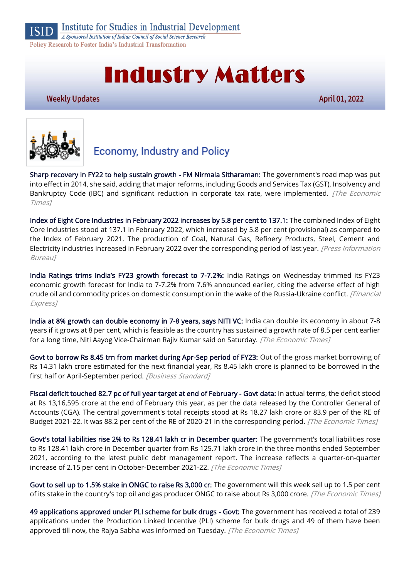

**Institute for Studies in Industrial Development** 

A Sponsored Institution of Indian Council of Social Science Research Policy Research to Foster India's Industrial Transformation

# **Industry Matters**

#### **Weekly Updates**

April 01, 2022



# **Economy, Industry and Policy**

[Sharp recovery in FY22 to help sustain growth - FM Nirmala Sitharaman:](https://economictimes.indiatimes.com/news/economy/indicators/sharp-recovery-in-fy22-to-help-sustain-growth-fm-nirmala-sitharaman/articleshow/90518308.cms) The government's road map was put into effect in 2014, she said, adding that major reforms, including Goods and Services Tax (GST), Insolvency and Bankruptcy Code (IBC) and significant reduction in corporate tax rate, were implemented. *[The Economic* Times]

[Index of Eight Core Industries in February 2022 increases by 5.8 per cent to 137.1:](https://pib.gov.in/PressReleasePage.aspx?PRID=1811985) The combined Index of Eight Core Industries stood at 137.1 in February 2022, which increased by 5.8 per cent (provisional) as compared to the Index of February 2021. The production of Coal, Natural Gas, Refinery Products, Steel, Cement and Electricity industries increased in February 2022 over the corresponding period of last year. [Press Information Bureau]

India Ratings trims India's F[Y23 growth forecast to 7-7.2%:](https://www.financialexpress.com/economy/india-ratings-trims-indias-fy23-growth-forecast-to-7-7-2/2476883/) India Ratings on Wednesday trimmed its FY23 economic growth forecast for India to 7-7.2% from 7.6% announced earlier, citing the adverse effect of high crude oil and commodity prices on domestic consumption in the wake of the Russia-Ukraine conflict. [Financial Express]

[India at 8% growth can double economy in 7-8 years, says NITI VC:](https://economictimes.indiatimes.com/news/economy/indicators/india-at-8-growth-can-double-economy-in-7-8-years-says-niti-vc/articleshow/90464530.cms) India can double its economy in about 7-8 years if it grows at 8 per cent, which is feasible as the country has sustained a growth rate of 8.5 per cent earlier for a long time, Niti Aayog Vice-Chairman Rajiv Kumar said on Saturday. [The Economic Times]

[Govt to borrow Rs 8.45 trn from market during Apr-Sep period of FY23:](https://www.business-standard.com/article/economy-policy/govt-to-borrow-rs-8-45-trn-from-market-during-apr-sep-period-of-fy23-122033101248_1.html) Out of the gross market borrowing of Rs 14.31 lakh crore estimated for the next financial year, Rs 8.45 lakh crore is planned to be borrowed in the first half or April-September period. [Business Standard]

[Fiscal deficit touched 82.7 pc of full year target at end of February - Govt data:](https://economictimes.indiatimes.com/news/economy/finance/fiscal-deficit-touched-82-7-pc-of-full-year-target-at-end-of-february-govt-data/articleshow/90568686.cms) In actual terms, the deficit stood at Rs 13,16,595 crore at the end of February this year, as per the data released by the Controller General of Accounts (CGA). The central government's total receipts stood at Rs 18.27 lakh crore or 83.9 per of the RE of Budget 2021-22. It was 88.2 per cent of the RE of 2020-21 in the corresponding period. [The Economic Times]

[Govt's total liabilities rise 2% to Rs 128.41 lakh cr in December quarter:](https://economictimes.indiatimes.com/news/economy/finance/govts-total-liabilities-rise-2-to-rs-128-41-lakh-cr-in-december-quarter/articleshow/90496359.cms) The government's total liabilities rose to Rs 128.41 lakh crore in December quarter from Rs 125.71 lakh crore in the three months ended September 2021, according to the latest public debt management report. The increase reflects a quarter-on-quarter increase of 2.15 per cent in October-December 2021-22. [The Economic Times]

[Govt to sell up to 1.5% stake in ONGC to raise Rs 3,000 cr:](https://economictimes.indiatimes.com/markets/companies/govt-to-sell-up-to-1-5-in-ongc-to-raise-rs-3000-cr/articleshow/90530690.cms) The government will this week sell up to 1.5 per cent of its stake in the country's top oil and gas producer ONGC to raise about Rs 3,000 crore. [The Economic Times]

[49 applications approved under PLI scheme for bulk drugs - Govt:](https://economictimes.indiatimes.com/small-biz/sme-sector/49-applications-approved-under-pli-scheme-for-bulk-drugs-govt/articleshow/90531317.cms) The government has received a total of 239 applications under the Production Linked Incentive (PLI) scheme for bulk drugs and 49 of them have been approved till now, the Rajya Sabha was informed on Tuesday. [The Economic Times]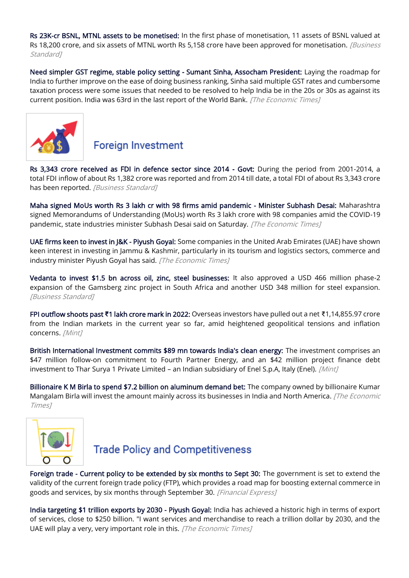[Rs 23K-cr BSNL, MTNL assets to be monetised:](https://www.business-standard.com/article/economy-policy/dipam-monetises-17-bsnl-mtnl-properties-valued-at-rs-23-358-crore-122033001657_1.html) In the first phase of monetisation, 11 assets of BSNL valued at Rs 18,200 crore, and six assets of MTNL worth Rs 5,158 crore have been approved for monetisation. *[Business* Standard<sub>1</sub>

[Need simpler GST regime, stable policy setting - Sumant Sinha, Assocham President:](https://economictimes.indiatimes.com/news/economy/policy/need-simpler-gst-regime-stable-policy-setting-sumant-sinha-assocham-president/articleshow/90503873.cms) Laying the roadmap for India to further improve on the ease of doing business ranking, Sinha said multiple GST rates and cumbersome taxation process were some issues that needed to be resolved to help India be in the 20s or 30s as against its current position. India was 63rd in the last report of the World Bank. [The Economic Times]



#### **Foreign Investment**

[Rs 3,343 crore received as FDI in defence sector since 2014 - Govt:](https://www.business-standard.com/article/economy-policy/rs-3-343-crore-received-as-fdi-in-defence-sector-since-2014-govt-122032801202_1.html) During the period from 2001-2014, a total FDI inflow of about Rs 1,382 crore was reported and from 2014 till date, a total FDI of about Rs 3,343 crore has been reported. [Business Standard]

[Maha signed MoUs worth Rs 3 lakh cr with 98 firms amid pandemic - Minister Subhash Desai:](https://economictimes.indiatimes.com/news/india/maha-signed-mous-worth-rs-3-lakh-cr-with-98-firms-amid-pandemic-minister-subhash-desai/articleshow/90463331.cms) Maharashtra signed Memorandums of Understanding (MoUs) worth Rs 3 lakh crore with 98 companies amid the COVID-19 pandemic, state industries minister Subhash Desai said on Saturday. [The Economic Times]

[UAE firms keen to invest in J&K - Piyush Goyal:](https://economictimes.indiatimes.com/news/economy/foreign-trade/uae-firms-keen-to-invest-in-jk-piyush-goyal/articleshow/90526900.cms) Some companies in the United Arab Emirates (UAE) have shown keen interest in investing in Jammu & Kashmir, particularly in its tourism and logistics sectors, commerce and industry minister Piyush Goyal has said. [The Economic Times]

[Vedanta to invest \\$1.5 bn across oil, zinc, steel businesses:](https://www.business-standard.com/article/companies/vedanta-to-invest-1-5-bn-across-oil-zinc-steel-businesses-122032501097_1.html) It also approved a USD 466 million phase-2 expansion of the Gamsberg zinc project in South Africa and another USD 348 million for steel expansion. [Business Standard]

FPI outflow shoots past **₹**[1 lakh crore mark in 2022:](https://www.livemint.com/market/stock-market-news/fpi-outflow-shoots-past-rs-1-lakh-crore-mark-in-2022-11648366333716.html) Overseas investors have pulled out a net ₹1,14,855.97 crore from the Indian markets in the current year so far, amid heightened geopolitical tensions and inflation concerns. [Mint]

[British International Investment commits \\$89 mn towards India's clean energy:](https://www.livemint.com/industry/energy/british-international-investment-commits-89-mn-towards-india-s-clean-energy-11648712365545.html) The investment comprises an \$47 million follow-on commitment to Fourth Partner Energy, and an \$42 million project finance debt investment to Thar Surya 1 Private Limited – an Indian subsidiary of Enel S.p.A, Italy (Enel). [Mint]

[Billionaire K M Birla to spend \\$7.2 billion on aluminum demand bet:](https://economictimes.indiatimes.com/industry/indl-goods/svs/metals-mining/billionaire-k-m-birla-to-spend-7-2-billion-on-aluminum-demand-bet/articleshow/90563906.cms) The company owned by billionaire Kumar Mangalam Birla will invest the amount mainly across its businesses in India and North America. [The Economic Times]



## **Trade Policy and Competitiveness**

[Foreign trade - Current policy to be extended by six months to Sept 30:](https://www.financialexpress.com/economy/foreign-trade-current-policy-to-be-extended-by-six-months-to-sept-30/2472166/) The government is set to extend the validity of the current [foreign trade policy](https://www.financialexpress.com/about/foreign-trade-policy/) (FTP), which provides a road map for boosting external commerce in goods and services, by six months through September 30. [Financial Express]

[India targeting \\$1 trillion exports by 2030 - Piyush Goyal:](https://economictimes.indiatimes.com/news/economy/foreign-trade/india-targeting-1-trillion-exports-by-2030-piyush-goyal/articleshow/90524541.cms) India has achieved a historic high in terms of export of services, close to \$250 billion. "I want services and merchandise to reach a trillion dollar by 2030, and the UAE will play a very, very important role in this. [The Economic Times]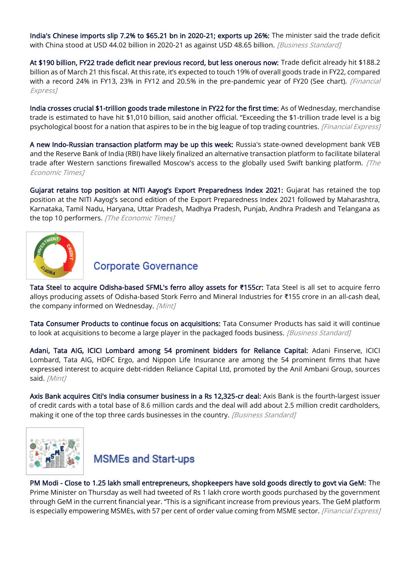[India's Chinese imports slip 7.2% to \\$65.21 bn in 2020-21; exports up 26%:](https://www.business-standard.com/article/economy-policy/india-s-chinese-imports-slip-7-2-to-65-21-bn-in-2020-21-exports-up-26-122032500774_1.html) The minister said the trade deficit with China stood at USD 44.02 billion in 2020-21 as against USD 48.65 billion. [Business Standard]

[At \\$190 billion, FY22 trade deficit near previous record, but less onerous now:](https://www.financialexpress.com/economy/at-190-billion-fy22-trade-deficit-near-previous-record-but-less-onerous-now/2471165/) Trade deficit already hit \$188.2 billion as of March 21 this fiscal. At this rate, it's expected to touch 19% of overall goods trade in FY22, compared with a record 24% in FY13, 23% in FY12 and 20.5% in the pre-pandemic year of FY20 (See chart). [Financial Express]

[India crosses crucial \\$1-trillion goods trade milestone in FY22 for the first time:](https://www.financialexpress.com/economy/india-crosses-crucial-1-trillion-goods-trade-milestone-in-fy22-for-the-first-time/2476874/) As of Wednesday, merchandise trade is estimated to have hit \$1,010 billion, said another official. "Exceeding the \$1-trillion trade level is a big psychological boost for a nation that aspires to be in the big league of top trading countries. [Financial Express]

[A new Indo-Russian transaction platform may be up this week:](https://economictimes.indiatimes.com/news/economy/policy/a-new-indo-russian-transaction-platform-may-be-up-this-week/articleshow/90551703.cms) Russia's state-owned development bank VEB and the Reserve Bank of India (RBI) have likely finalized an alternative transaction platform to facilitate bilateral trade after Western sanctions firewalled Moscow's access to the globally used Swift banking platform.  $[The$ Economic Times]

[Gujarat retains top position at NITI Aayog's Export Preparedness Index 2021:](https://economictimes.indiatimes.com/news/economy/foreign-trade/gujarat-retains-top-position-at-niti-aayogs-export-preparedness-index-2021/articleshow/90437540.cms) Gujarat has retained the top position at the NITI Aayog's second edition of the Export Preparedness Index 2021 followed by Maharashtra, Karnataka, Tamil Nadu, Haryana, Uttar Pradesh, Madhya Pradesh, Punjab, Andhra Pradesh and Telangana as the top 10 performers. [The Economic Times]



#### **Corporate Governance**

[Tata Steel to acquire Odisha-based SFML's ferro alloy assets for](https://www.livemint.com/companies/news/tata-steel-to-acquire-odisha-based-sfml-s-ferro-alloy-assets-for-rs-155cr-11648651085887.html) **₹**155cr: Tata Steel is all set to acquire ferro alloys producing assets of Odisha-based Stork Ferro and Mineral Industries for ₹155 crore in an all-cash deal, the company informed on Wednesday. [Mint]

[Tata Consumer Products to continue focus on acquisitions:](https://www.business-standard.com/article/companies/tata-consumer-products-to-continue-focus-on-acquisitions-122032600010_1.html) Tata Consumer Products has said it will continue to look at acquisitions to become a large player in the packaged foods business. [Business Standard]

[Adani, Tata AIG, ICICI Lombard among 54 prominent bidders for Reliance Capital:](https://www.livemint.com/companies/news/adani-tata-aig-icici-lombard-among-54-prominent-bidders-for-reliance-capital-11648376573725.html) Adani Finserve, ICICI Lombard, Tata AIG, HDFC Ergo, and Nippon Life Insurance are among the 54 prominent firms that have expressed interest to acquire debt-ridden Reliance Capital Ltd, promoted by the Anil Ambani Group, sources said. [Mint]

[Axis Bank acquires Citi's India consumer business in a Rs 12,325-cr deal:](https://www.business-standard.com/article/finance/axis-bank-acquires-citi-s-india-consumer-business-in-a-rs-12-325-cr-deal-122033001029_1.html) Axis Bank is the fourth-largest issuer of credit cards with a total base of 8.6 million cards and the deal will add about 2.5 million credit cardholders, making it one of the top three cards businesses in the country. [Business Standard]



# **MSMEs and Start-ups**

[PM Modi - Close to 1.25 lakh small entrepreneurs, shopkeepers have sold goods directly to govt via GeM:](https://www.financialexpress.com/industry/sme/msme-eodb-pm-modi-close-to-1-25-lakh-small-entrepreneurs-shopkeepers-have-sold-goods-directly-to-govt-via-gem/2473010/) The Prime Minister on Thursday as well had tweeted of Rs 1 lakh crore worth goods purchased by the government through GeM in the current financial year. "This is a significant increase from previous years. The GeM platform is especially empowering MSMEs, with 57 per cent of order value coming from MSME sector. [Financial Express]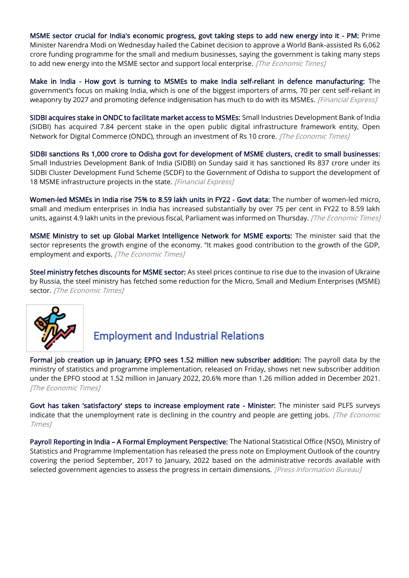[MSME sector crucial for India's economic progress, govt taking steps to add new energy into it - PM:](https://economictimes.indiatimes.com/small-biz/sme-sector/msme-sector-crucial-for-indias-economic-progress-govt-taking-steps-to-add-new-energy-into-it-pm/articleshow/90556893.cms) Prime Minister Narendra Modi on Wednesday hailed the Cabinet decision to approve a World Bank-assisted Rs 6,062 crore funding programme for the small and medium businesses, saying the government is taking many steps to add new energy into the MSME sector and support local enterprise. [The Economic Times]

[Make in India - How govt is turning to MSMEs to make India self-reliant in defence manufacturing:](https://www.financialexpress.com/industry/sme/msme-eodb-make-in-india-how-govt-is-turning-to-msmes-to-make-india-self-reliant-in-defence-manufacturing/2477821/) The government's focus on making India, which is one of the biggest importers of arms, 70 per cent self-reliant in weaponry by 2027 and promoting defence indigenisation has much to do with its MSMEs. [Financial Express]

[SIDBI acquires stake in ONDC to facilitate market access to MSMEs:](https://economictimes.indiatimes.com/small-biz/sme-sector/sidbi-acquires-stake-in-ondc-to-facilitate-market-access-to-msmes/articleshow/90439985.cms) Small Industries Development Bank of India (SIDBI) has acquired 7.84 percent stake in the open public digital infrastructure framework entity, Open Network for Digital Commerce (ONDC), through an investment of Rs 10 crore. *[The Economic Times]* 

[SIDBI sanctions Rs 1,000 crore to Odisha govt for development of MSME clusters, credit to small businesses:](https://www.financialexpress.com/industry/sme/msme-fin-sidbi-sanctions-rs-1000-crore-to-odisha-govt-for-development-of-msme-clusters-credit-to-small-businesses/2472961/) Small Industries Development Bank of India (SIDBI) on Sunday said it has sanctioned Rs 837 crore under its SIDBI Cluster Development Fund Scheme (SCDF) to the Government of Odisha to support the development of 18 MSME infrastructure projects in the state. [Financial Express]

[Women-led MSMEs in India rise 75% to 8.59 lakh units in FY22 - Govt data:](https://economictimes.indiatimes.com/small-biz/sme-sector/women-led-msmes-in-india-rise-75-to-8-59-lakh-units-in-fy22-govt-data/articleshow/90566137.cms) The number of women-led micro, small and medium enterprises in India has increased substantially by over 75 per cent in FY22 to 8.59 lakh units, against 4.9 lakh units in the previous fiscal, Parliament was informed on Thursday. [The Economic Times]

[MSME Ministry to set up Global Market Intelligence Network for MSME exports:](https://economictimes.indiatimes.com/small-biz/sme-sector/msme-ministry-to-set-up-global-market-intelligence-network-for-msme-exports/articleshow/90515088.cms) The minister said that the sector represents the growth engine of the economy. "It makes good contribution to the growth of the GDP, employment and exports. [The Economic Times]

[Steel ministry fetches discounts for MSME sector:](https://economictimes.indiatimes.com/industry/indl-goods/svs/steel/steel-ministry-fetches-discounts-for-msme-sector/articleshow/90474523.cms) As steel prices continue to rise due to the invasion of Ukraine by Russia, the steel ministry has fetched some reduction for the Micro, Small and Medium Enterprises (MSME) sector. [The Economic Times]



# **Employment and Industrial Relations**

[Formal job creation up in January; EPFO sees 1.52 million new subscriber addition:](https://economictimes.indiatimes.com/news/economy/indicators/formal-job-creation-up-in-january-epfo-sees-1-52-million-new-subscriber-addition/articleshow/90436548.cms) The payroll data by the ministry of statistics and programme implementation, released on Friday, shows net new subscriber addition under the EPFO stood at 1.52 million in January 2022, 20.6% more than 1.26 million added in December 2021. [The Fconomic Times]

[Govt has taken 'satisfactory' steps to increase employment rate - Minister:](https://economictimes.indiatimes.com/news/india/govt-has-taken-satisfactory-steps-to-increase-employment-rate-minister/articleshow/90493729.cms) The minister said PLFS surveys indicate that the unemployment rate is declining in the country and people are getting jobs. [The Economic Times]

Payroll Reporting in India – [A Formal Employment Perspective:](https://www.pib.gov.in/PressReleasePage.aspx?PRID=1809469) The National Statistical Office (NSO), Ministry of Statistics and Programme Implementation has released the press note on Employment Outlook of the country covering the period September, 2017 to January, 2022 based on the administrative records available with selected government agencies to assess the progress in certain dimensions. [Press Information Bureau]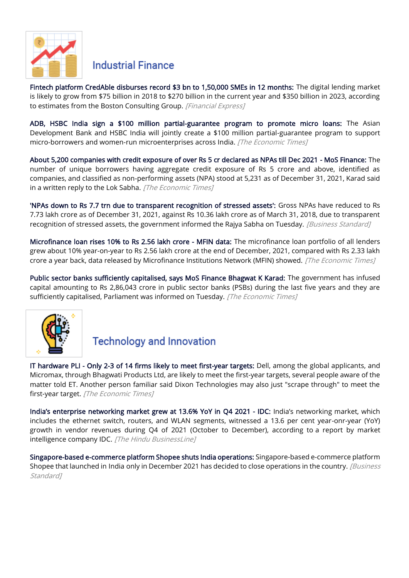

#### **Industrial Finance**

[Fintech platform CredAble disburses record \\$3 bn to 1,50,000 SMEs in 12 months:](https://www.financialexpress.com/industry/sme/msme-fin-fintech-platform-credable-disburses-record-3-bn-to-150000-smes-in-12-months/2476067/) The digital lending market is likely to grow from \$75 billion in 2018 to \$270 billion in the current year and \$350 billion in 2023, according to estimates from the Boston Consulting Group. [Financial Express]

[ADB, HSBC India sign a \\$100 million partial-guarantee program to promote micro loans:](https://economictimes.indiatimes.com/small-biz/trade/exports/insights/adb-hsbc-india-sign-a-100-million-partial-guarantee-program-to-promote-micro-loans/articleshow/90583782.cms) The Asian Development Bank and HSBC India will jointly create a \$100 million partial-guarantee program to support micro-borrowers and women-run microenterprises across India. [The Economic Times]

[About 5,200 companies with credit exposure of over Rs 5 cr declared as NPAs till Dec 2021 - MoS Finance:](https://economictimes.indiatimes.com/industry/banking/finance/banking/about-5200-companies-with-credit-exposure-of-over-rs-5-cr-declared-as-npas-till-dec-2021-mos-finance/articleshow/90494170.cms) The number of unique borrowers having aggregate credit exposure of Rs 5 crore and above, identified as companies, and classified as non-performing assets (NPA) stood at 5,231 as of December 31, 2021, Karad said in a written reply to the Lok Sabha. [The Economic Times]

['NPAs down to Rs 7.7 trn due to transparent recognition of stressed assets':](https://www.business-standard.com/article/economy-policy/npas-down-to-rs-7-7-trn-due-to-transparent-recognition-of-stressed-assets-122032901411_1.html) Gross NPAs have reduced to Rs 7.73 lakh crore as of December 31, 2021, against Rs 10.36 lakh crore as of March 31, 2018, due to transparent recognition of stressed assets, the government informed the Rajya Sabha on Tuesday. [Business Standard]

[Microfinance loan rises 10% to Rs 2.56 lakh crore - MFIN data:](https://economictimes.indiatimes.com/industry/banking/finance/microfinance-loan-rises-10-to-rs-2-56-lakh-crore-mfin-data/articleshow/90519562.cms) The microfinance loan portfolio of all lenders grew about 10% year-on-year to Rs 2.56 lakh crore at the end of December, 2021, compared with Rs 2.33 lakh crore a year back, data released by Microfinance Institutions Network (MFIN) showed. [The Economic Times]

[Public sector banks sufficiently capitalised, says MoS Finance Bhagwat K Karad:](https://economictimes.indiatimes.com/industry/banking/finance/banking/public-sector-banks-sufficiently-capitalised-says-mos-finance-bhagwat-k-karad/articleshow/90517191.cms) The government has infused capital amounting to Rs 2,86,043 crore in public sector banks (PSBs) during the last five years and they are sufficiently capitalised, Parliament was informed on Tuesday. [The Economic Times]



## **Technology and Innovation**

[IT hardware PLI - Only 2-3 of 14 firms likely to meet first-year targets:](https://economictimes.indiatimes.com/news/economy/policy/it-hardware-pli-only-2-3-of-14-firms-likely-to-meet-first-year-targets/articleshow/90529252.cms) Dell, among the global applicants, and Micromax, through Bhagwati Products Ltd, are likely to meet the first-year targets, several people aware of the matter told ET. Another person familiar said Dixon Technologies may also just "scrape through" to meet the first-year target. [The Economic Times]

[India's enterprise networking market grew at 13.6% YoY in](https://www.thehindubusinessline.com/info-tech/indias-enterprise-networking-market-grew-at-136-yoy-in-q4-2021-idc/article65273552.ece) Q4 2021 - IDC: India's networking market, which includes the ethernet switch, routers, and WLAN segments, witnessed a 13.6 per cent year-onr-year (YoY) growth in vendor revenues during Q4 of 2021 (October to December), according to a report by market intelligence company IDC. [The Hindu BusinessLine]

[Singapore-based e-commerce platform Shopee shuts India operations:](https://www.business-standard.com/article/companies/singapore-based-e-commerce-platform-shopee-shuts-india-operations-122032900018_1.html) Singapore-based e-commerce platform Shopee that launched in India only in December 2021 has decided to close operations in the country. [Business Standard<sub>1</sub>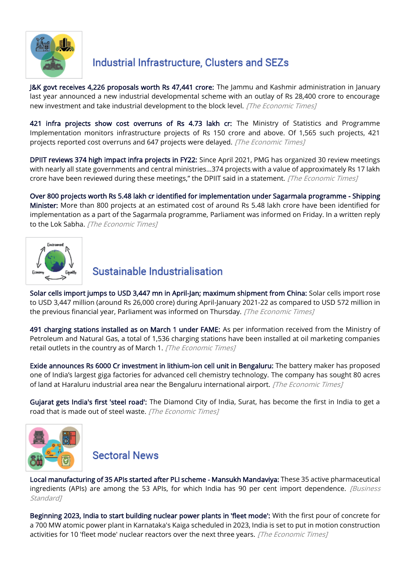

# Industrial Infrastructure, Clusters and SEZs

[J&K govt receives 4,226 proposals worth Rs 47,441 crore:](https://economictimes.indiatimes.com/news/india/jk-govt-receives-4226-proposals-worth-rs-47441-crore/articleshow/90518031.cms) The Jammu and Kashmir administration in January last year announced a new industrial developmental scheme with an outlay of Rs 28,400 crore to encourage new investment and take industrial development to the block level. [The Economic Times]

[421 infra projects show cost overruns of Rs 4.73 lakh cr:](https://economictimes.indiatimes.com/news/economy/infrastructure/421-infra-projects-show-cost-overruns-of-rs-4-73-lakh-cr/articleshow/90471260.cms) The Ministry of Statistics and Programme Implementation monitors infrastructure projects of Rs 150 crore and above. Of 1,565 such projects, 421 projects reported cost overruns and 647 projects were delayed. [The Economic Times]

[DPIIT reviews 374 high impact infra projects in FY22:](https://economictimes.indiatimes.com/news/economy/infrastructure/dpiit-reviews-374-high-impact-infra-projects-in-fy22/articleshow/90548513.cms) Since April 2021, PMG has organized 30 review meetings with nearly all state governments and central ministries…374 projects with a value of approximately Rs 17 lakh crore have been reviewed during these meetings," the DPIIT said in a statement. [The Economic Times]

[Over 800 projects worth Rs 5.48 lakh cr identified for implementation under Sagarmala programme - Shipping](https://economictimes.indiatimes.com/news/economy/infrastructure/over-800-projects-worth-rs-5-48-lakh-cr-identified-for-implementation-under-sagarmala-programme-shipping-minister/articleshow/90441934.cms)  [Minister:](https://economictimes.indiatimes.com/news/economy/infrastructure/over-800-projects-worth-rs-5-48-lakh-cr-identified-for-implementation-under-sagarmala-programme-shipping-minister/articleshow/90441934.cms) More than 800 projects at an estimated cost of around Rs 5.48 lakh crore have been identified for implementation as a part of the Sagarmala programme, Parliament was informed on Friday. In a written reply to the Lok Sabha. [The Economic Times]



### Sustainable Industrialisation

[Solar cells import jumps to USD 3,447 mn in April-Jan; maximum shipment from China:](https://economictimes.indiatimes.com/industry/renewables/solar-cells-import-jumps-to-usd-3447-mn-in-april-jan-maximum-shipment-from-china/articleshow/90576174.cms) Solar cells import rose to USD 3,447 million (around Rs 26,000 crore) during April-January 2021-22 as compared to USD 572 million in the previous financial year, Parliament was informed on Thursday. [The Economic Times]

[491 charging stations installed as on March 1 under FAME:](https://economictimes.indiatimes.com/industry/renewables/491-charging-stations-installed-as-on-march-1-under-fame/articleshow/90447152.cms) As per information received from the Ministry of Petroleum and Natural Gas, a total of 1,536 charging stations have been installed at oil marketing companies retail outlets in the country as of March 1. [The Economic Times]

[Exide announces Rs 6000 Cr investment in lithium-ion cell unit in Bengaluru:](https://economictimes.indiatimes.com/industry/renewables/exide-announces-investment-of-rs-6000-crore-in-karnataka/articleshow/90569891.cms) The battery maker has proposed one of India's largest giga factories for advanced cell chemistry technology. The company has sought 80 acres of land at Haraluru industrial area near the Bengaluru international airport. [The Economic Times]

[Gujarat gets India's first 'steel road':](https://economictimes.indiatimes.com/news/india/gujarat-gets-indias-first-steel-road-details-here/articleshow/90470791.cms) The Diamond City of India, Surat, has become the first in India to get a road that is made out of steel waste. [The Economic Times]



**Sectoral News** 

[Local manufacturing of 35 APIs started after PLI scheme - Mansukh Mandaviya:](https://www.business-standard.com/article/economy-policy/local-manufacturing-of-35-apis-started-after-pli-scheme-mansukh-mandaviya-122032901025_1.html) These 35 active pharmaceutical ingredients (APIs) are among the 53 APIs, for which India has 90 per cent import dependence. *[Business* Standard<sub>1</sub>

[Beginning 2023, India to start building nuclear power plants in 'fleet mode':](https://economictimes.indiatimes.com/industry/energy/power/beginning-2023-india-to-start-building-nuclear-power-plants-in-fleet-mode/articleshow/90470373.cms) With the first pour of concrete for a 700 MW atomic power plant in Karnataka's Kaiga scheduled in 2023, India is set to put in motion construction activities for 10 'fleet mode' nuclear reactors over the next three years. [The Economic Times]